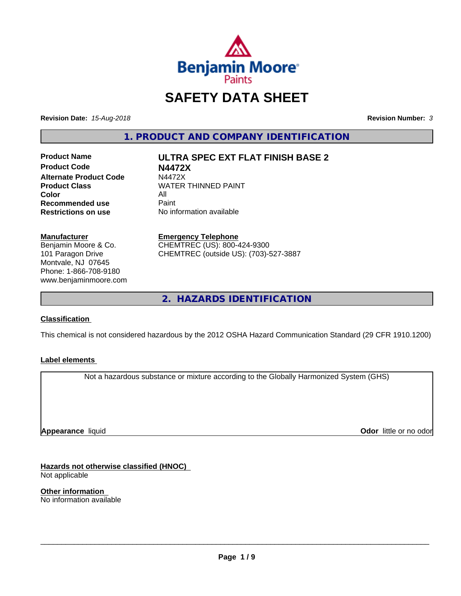

# **SAFETY DATA SHEET**

**Revision Date:** *15-Aug-2018* **Revision Number:** *3*

**1. PRODUCT AND COMPANY IDENTIFICATION**

**Product Name ULTRA SPEC EXT FLAT FINISH BASE 2 Product Code N4472X Alternate Product Code M4472X**<br>Product Class WATER **Color** All<br> **Recommended use** Paint **Recommended use**<br>Restrictions on use

**WATER THINNED PAINT** 

**No information available** 

**Manufacturer**

Benjamin Moore & Co. 101 Paragon Drive Montvale, NJ 07645 Phone: 1-866-708-9180 www.benjaminmoore.com

#### **Emergency Telephone**

CHEMTREC (US): 800-424-9300 CHEMTREC (outside US): (703)-527-3887

**2. HAZARDS IDENTIFICATION**

### **Classification**

This chemical is not considered hazardous by the 2012 OSHA Hazard Communication Standard (29 CFR 1910.1200)

### **Label elements**

Not a hazardous substance or mixture according to the Globally Harmonized System (GHS)

**Appearance** liquid

**Odor** little or no odor

**Hazards not otherwise classified (HNOC)** Not applicable

**Other information** No information available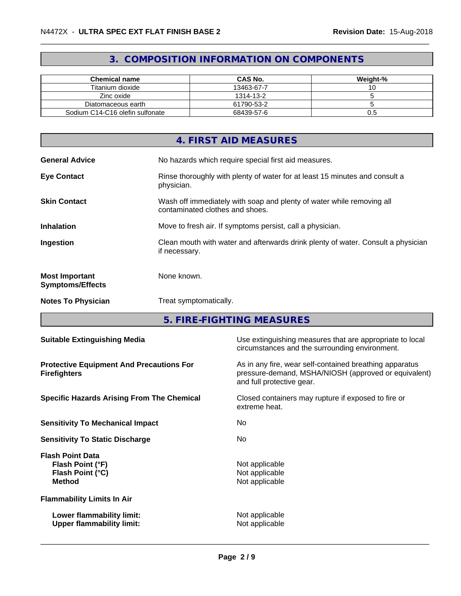# **3. COMPOSITION INFORMATION ON COMPONENTS**

| <b>Chemical name</b>            | <b>CAS No.</b> | Weight-% |
|---------------------------------|----------------|----------|
| Titanium dioxide                | 13463-67-7     |          |
| Zinc oxide                      | 1314-13-2      |          |
| Diatomaceous earth              | 61790-53-2     |          |
| Sodium C14-C16 olefin sulfonate | 68439-57-6     | U.5      |

|                                                  | 4. FIRST AID MEASURES                                                                                    |
|--------------------------------------------------|----------------------------------------------------------------------------------------------------------|
| <b>General Advice</b>                            | No hazards which require special first aid measures.                                                     |
| <b>Eye Contact</b>                               | Rinse thoroughly with plenty of water for at least 15 minutes and consult a<br>physician.                |
| <b>Skin Contact</b>                              | Wash off immediately with soap and plenty of water while removing all<br>contaminated clothes and shoes. |
| <b>Inhalation</b>                                | Move to fresh air. If symptoms persist, call a physician.                                                |
| Ingestion                                        | Clean mouth with water and afterwards drink plenty of water. Consult a physician<br>if necessary.        |
| <b>Most Important</b><br><b>Symptoms/Effects</b> | None known.                                                                                              |
| <b>Notes To Physician</b>                        | Treat symptomatically.                                                                                   |

**5. FIRE-FIGHTING MEASURES**

| <b>Suitable Extinguishing Media</b>                                              | Use extinguishing measures that are appropriate to local<br>circumstances and the surrounding environment.                                   |
|----------------------------------------------------------------------------------|----------------------------------------------------------------------------------------------------------------------------------------------|
| <b>Protective Equipment And Precautions For</b><br><b>Firefighters</b>           | As in any fire, wear self-contained breathing apparatus<br>pressure-demand, MSHA/NIOSH (approved or equivalent)<br>and full protective gear. |
| <b>Specific Hazards Arising From The Chemical</b>                                | Closed containers may rupture if exposed to fire or<br>extreme heat.                                                                         |
| <b>Sensitivity To Mechanical Impact</b>                                          | No                                                                                                                                           |
| <b>Sensitivity To Static Discharge</b>                                           | No.                                                                                                                                          |
| <b>Flash Point Data</b><br>Flash Point (°F)<br>Flash Point (°C)<br><b>Method</b> | Not applicable<br>Not applicable<br>Not applicable                                                                                           |
| <b>Flammability Limits In Air</b>                                                |                                                                                                                                              |
| Lower flammability limit:<br><b>Upper flammability limit:</b>                    | Not applicable<br>Not applicable                                                                                                             |
|                                                                                  |                                                                                                                                              |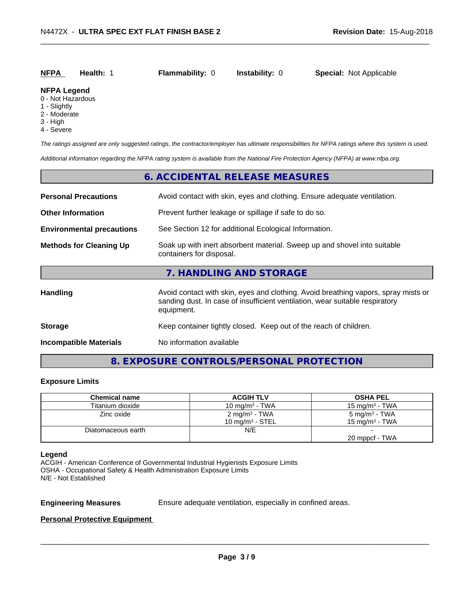# **NFPA Health:** 1 **Flammability:** 0 **Instability:** 0 **Special:** Not Applicable

#### **NFPA Legend**

- 0 Not Hazardous
- 1 Slightly
- 2 Moderate
- 3 High
- 4 Severe

*The ratings assigned are only suggested ratings, the contractor/employer has ultimate responsibilities for NFPA ratings where this system is used.*

*Additional information regarding the NFPA rating system is available from the National Fire Protection Agency (NFPA) at www.nfpa.org.*

## **6. ACCIDENTAL RELEASE MEASURES**

| <b>Personal Precautions</b>      | Avoid contact with skin, eyes and clothing. Ensure adequate ventilation.                                                                                                         |  |
|----------------------------------|----------------------------------------------------------------------------------------------------------------------------------------------------------------------------------|--|
| <b>Other Information</b>         | Prevent further leakage or spillage if safe to do so.                                                                                                                            |  |
| <b>Environmental precautions</b> | See Section 12 for additional Ecological Information.                                                                                                                            |  |
| <b>Methods for Cleaning Up</b>   | Soak up with inert absorbent material. Sweep up and shovel into suitable<br>containers for disposal.                                                                             |  |
|                                  | 7. HANDLING AND STORAGE                                                                                                                                                          |  |
| <b>Handling</b>                  | Avoid contact with skin, eyes and clothing. Avoid breathing vapors, spray mists or<br>sanding dust. In case of insufficient ventilation, wear suitable respiratory<br>equipment. |  |
| <b>Storage</b>                   | Keep container tightly closed. Keep out of the reach of children.                                                                                                                |  |
| <b>Incompatible Materials</b>    | No information available                                                                                                                                                         |  |

# **8. EXPOSURE CONTROLS/PERSONAL PROTECTION**

#### **Exposure Limits**

| <b>Chemical name</b> | <b>ACGIH TLV</b>          | <b>OSHA PEL</b>           |
|----------------------|---------------------------|---------------------------|
| Titanium dioxide     | 10 mg/m $3$ - TWA         | $15 \text{ ma/m}^3$ - TWA |
| Zinc oxide           | 2 mg/m <sup>3</sup> - TWA | 5 mg/m <sup>3</sup> - TWA |
|                      | 10 mg/m $3$ - STEL        | 15 mg/m $3$ - TWA         |
| Diatomaceous earth   | N/E                       |                           |
|                      |                           | 20 mppcf - TWA            |

#### **Legend**

ACGIH - American Conference of Governmental Industrial Hygienists Exposure Limits OSHA - Occupational Safety & Health Administration Exposure Limits N/E - Not Established

**Engineering Measures** Ensure adequate ventilation, especially in confined areas.

 $\overline{\phantom{a}}$  ,  $\overline{\phantom{a}}$  ,  $\overline{\phantom{a}}$  ,  $\overline{\phantom{a}}$  ,  $\overline{\phantom{a}}$  ,  $\overline{\phantom{a}}$  ,  $\overline{\phantom{a}}$  ,  $\overline{\phantom{a}}$  ,  $\overline{\phantom{a}}$  ,  $\overline{\phantom{a}}$  ,  $\overline{\phantom{a}}$  ,  $\overline{\phantom{a}}$  ,  $\overline{\phantom{a}}$  ,  $\overline{\phantom{a}}$  ,  $\overline{\phantom{a}}$  ,  $\overline{\phantom{a}}$ 

#### **Personal Protective Equipment**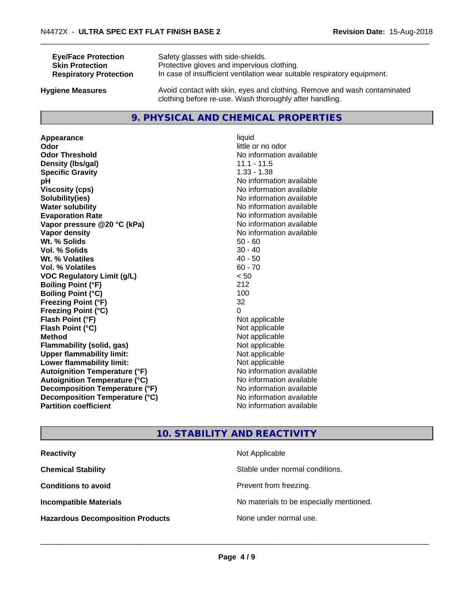| <b>Eye/Face Protection</b>    | Safety glasses with side-shields.                                        |
|-------------------------------|--------------------------------------------------------------------------|
| <b>Skin Protection</b>        | Protective gloves and impervious clothing.                               |
| <b>Respiratory Protection</b> | In case of insufficient ventilation wear suitable respiratory equipment. |
| <b>Hygiene Measures</b>       | Avoid contact with skin, eyes and clothing. Remove and wash contaminated |

clothing before re-use. Wash thoroughly after handling.

# **9. PHYSICAL AND CHEMICAL PROPERTIES**

**Appearance** liquid **Odor** little or no odor **Odor Threshold** No information available **Density (Ibs/gal)** 11.1 - 11.5<br> **Specific Gravity** 1.33 - 1.38 **Specific Gravity pH** No information available **Viscosity (cps)** No information available<br> **Solubility (ies)** No information available<br>
No information available **Water solubility** No information available **Evaporation Rate Evaporation Rate No information available Vapor pressure @20 °C (kPa)** No information available **Vapor density** No information available values and values of  $\alpha$  No information available **Wt. % Solids** 50 - 60<br> **Vol. % Solids** 50 - 40 **Vol. % Solids Wt.** % Volatiles 40 - 50 **Vol. % Volatiles** 60 - 70 **VOC Regulatory Limit (g/L)** < 50 **Boiling Point (°F)** 212 **Boiling Point**  $(^{\circ}C)$  100 **Freezing Point (°F)** 32 **Freezing Point (°C)** 0 **Flash Point (°F)** Not applicable **Flash Point (°C)** Not applicable **Method** Not applicable<br> **Flammability (solid, gas)** Not applicable Not applicable **Flammability** (solid, gas) **Upper flammability limit:**<br> **Lower flammability limit:** Not applicable Not applicable **Lower flammability limit:**<br> **Autoignition Temperature (°F)** Not applicable havailable **Autoignition Temperature (°F) Autoignition Temperature (°C)** No information available **Decomposition Temperature (°F)** No information available **Decomposition Temperature (°C)**<br> **Partition coefficient**<br> **Partition coefficient**<br> **Partition coefficient** 

**Solubility(ies)** No information available **No information available** 

# **10. STABILITY AND REACTIVITY**

| <b>Reactivity</b>                       | Not Applicable                           |
|-----------------------------------------|------------------------------------------|
| <b>Chemical Stability</b>               | Stable under normal conditions.          |
| <b>Conditions to avoid</b>              | Prevent from freezing.                   |
| <b>Incompatible Materials</b>           | No materials to be especially mentioned. |
| <b>Hazardous Decomposition Products</b> | None under normal use.                   |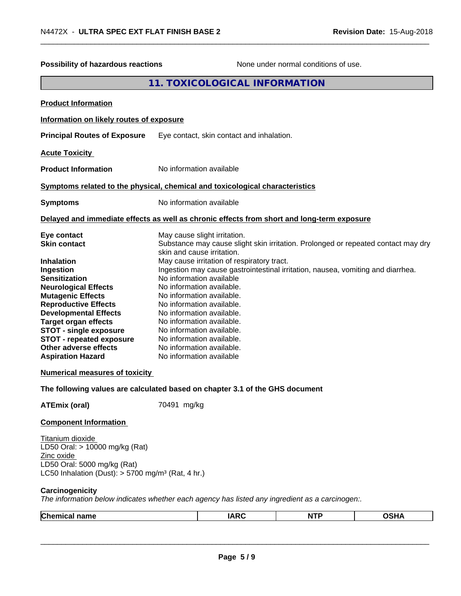| Possibility of hazardous reactions                                                                                                                                                                                                                                                                                                                                                                                      | None under normal conditions of use.                                                                                                                                                                                                                                                                                                                                                                                                                                                                                                                                             |
|-------------------------------------------------------------------------------------------------------------------------------------------------------------------------------------------------------------------------------------------------------------------------------------------------------------------------------------------------------------------------------------------------------------------------|----------------------------------------------------------------------------------------------------------------------------------------------------------------------------------------------------------------------------------------------------------------------------------------------------------------------------------------------------------------------------------------------------------------------------------------------------------------------------------------------------------------------------------------------------------------------------------|
|                                                                                                                                                                                                                                                                                                                                                                                                                         | 11. TOXICOLOGICAL INFORMATION                                                                                                                                                                                                                                                                                                                                                                                                                                                                                                                                                    |
| <b>Product Information</b>                                                                                                                                                                                                                                                                                                                                                                                              |                                                                                                                                                                                                                                                                                                                                                                                                                                                                                                                                                                                  |
| Information on likely routes of exposure                                                                                                                                                                                                                                                                                                                                                                                |                                                                                                                                                                                                                                                                                                                                                                                                                                                                                                                                                                                  |
| <b>Principal Routes of Exposure</b>                                                                                                                                                                                                                                                                                                                                                                                     | Eye contact, skin contact and inhalation.                                                                                                                                                                                                                                                                                                                                                                                                                                                                                                                                        |
| <b>Acute Toxicity</b>                                                                                                                                                                                                                                                                                                                                                                                                   |                                                                                                                                                                                                                                                                                                                                                                                                                                                                                                                                                                                  |
| <b>Product Information</b>                                                                                                                                                                                                                                                                                                                                                                                              | No information available                                                                                                                                                                                                                                                                                                                                                                                                                                                                                                                                                         |
|                                                                                                                                                                                                                                                                                                                                                                                                                         | Symptoms related to the physical, chemical and toxicological characteristics                                                                                                                                                                                                                                                                                                                                                                                                                                                                                                     |
| <b>Symptoms</b>                                                                                                                                                                                                                                                                                                                                                                                                         | No information available                                                                                                                                                                                                                                                                                                                                                                                                                                                                                                                                                         |
|                                                                                                                                                                                                                                                                                                                                                                                                                         | Delayed and immediate effects as well as chronic effects from short and long-term exposure                                                                                                                                                                                                                                                                                                                                                                                                                                                                                       |
| Eye contact<br><b>Skin contact</b><br><b>Inhalation</b><br>Ingestion<br><b>Sensitization</b><br><b>Neurological Effects</b><br><b>Mutagenic Effects</b><br><b>Reproductive Effects</b><br><b>Developmental Effects</b><br><b>Target organ effects</b><br><b>STOT - single exposure</b><br><b>STOT - repeated exposure</b><br>Other adverse effects<br><b>Aspiration Hazard</b><br><b>Numerical measures of toxicity</b> | May cause slight irritation.<br>Substance may cause slight skin irritation. Prolonged or repeated contact may dry<br>skin and cause irritation.<br>May cause irritation of respiratory tract.<br>Ingestion may cause gastrointestinal irritation, nausea, vomiting and diarrhea.<br>No information available<br>No information available.<br>No information available.<br>No information available.<br>No information available.<br>No information available.<br>No information available.<br>No information available.<br>No information available.<br>No information available |
|                                                                                                                                                                                                                                                                                                                                                                                                                         | The following values are calculated based on chapter 3.1 of the GHS document                                                                                                                                                                                                                                                                                                                                                                                                                                                                                                     |
| <b>ATEmix (oral)</b><br><b>Component Information</b>                                                                                                                                                                                                                                                                                                                                                                    | 70491 mg/kg                                                                                                                                                                                                                                                                                                                                                                                                                                                                                                                                                                      |
| Titanium dioxide<br>LD50 Oral: > 10000 mg/kg (Rat)<br>Zinc oxide<br>LD50 Oral: 5000 mg/kg (Rat)<br>LC50 Inhalation (Dust): $> 5700$ mg/m <sup>3</sup> (Rat, 4 hr.)                                                                                                                                                                                                                                                      |                                                                                                                                                                                                                                                                                                                                                                                                                                                                                                                                                                                  |
| Carcinogenicity                                                                                                                                                                                                                                                                                                                                                                                                         | The information below indicates whether each agency has listed any ingredient as a carcinogen:.                                                                                                                                                                                                                                                                                                                                                                                                                                                                                  |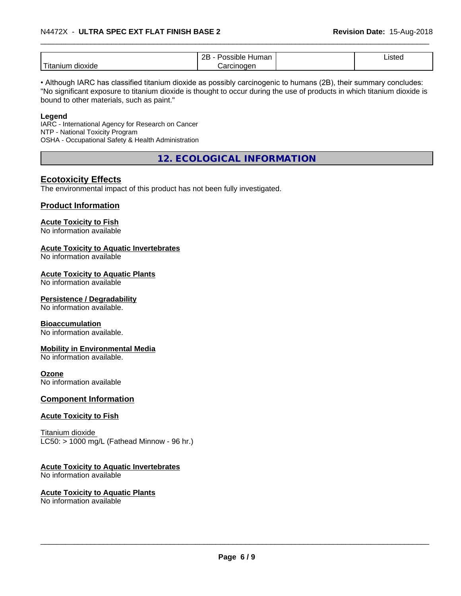|                                       | റല<br>.<br>пuг.<br>лаг<br>ᅩ | $.1o+$<br>. .<br>. |  |
|---------------------------------------|-----------------------------|--------------------|--|
| $-$<br>--<br>dioxide<br>חוווה<br>itar | $\sim$<br>naer<br>л         |                    |  |

• Although IARC has classified titanium dioxide as possibly carcinogenic to humans (2B), their summary concludes: "No significant exposure to titanium dioxide is thought to occur during the use of products in which titanium dioxide is bound to other materials, such as paint."

#### **Legend**

IARC - International Agency for Research on Cancer NTP - National Toxicity Program OSHA - Occupational Safety & Health Administration

**12. ECOLOGICAL INFORMATION**

# **Ecotoxicity Effects**

The environmental impact of this product has not been fully investigated.

#### **Product Information**

# **Acute Toxicity to Fish**

No information available

### **Acute Toxicity to Aquatic Invertebrates**

No information available

#### **Acute Toxicity to Aquatic Plants**

No information available

#### **Persistence / Degradability**

No information available.

#### **Bioaccumulation**

No information available.

#### **Mobility in Environmental Media**

No information available.

#### **Ozone**

No information available

#### **Component Information**

#### **Acute Toxicity to Fish**

Titanium dioxide  $LC50:$  > 1000 mg/L (Fathead Minnow - 96 hr.)

#### **Acute Toxicity to Aquatic Invertebrates**

No information available

# **Acute Toxicity to Aquatic Plants**

No information available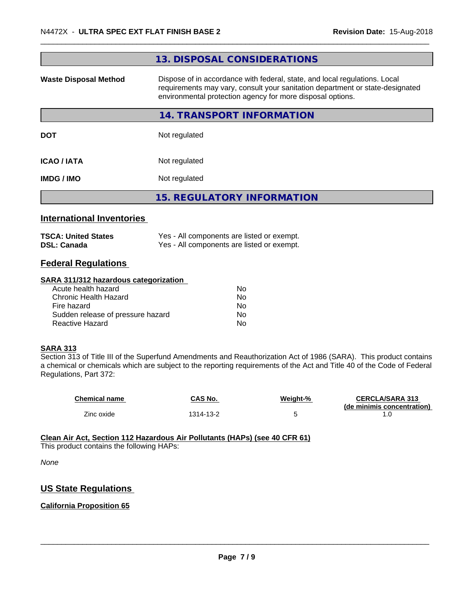| 13. DISPOSAL CONSIDERATIONS                                                                                                                                                                                               |
|---------------------------------------------------------------------------------------------------------------------------------------------------------------------------------------------------------------------------|
| Dispose of in accordance with federal, state, and local regulations. Local<br>requirements may vary, consult your sanitation department or state-designated<br>environmental protection agency for more disposal options. |
| <b>14. TRANSPORT INFORMATION</b>                                                                                                                                                                                          |
| Not regulated                                                                                                                                                                                                             |
| Not regulated                                                                                                                                                                                                             |
| Not regulated                                                                                                                                                                                                             |
| <b>15. REGULATORY INFORMATION</b>                                                                                                                                                                                         |
|                                                                                                                                                                                                                           |
|                                                                                                                                                                                                                           |

| TSCA: United States | Yes - All components are listed or exempt. |
|---------------------|--------------------------------------------|
| DSL: Canada         | Yes - All components are listed or exempt. |

# **Federal Regulations**

#### **SARA 311/312 hazardous categorization**

| Acute health hazard               | No |
|-----------------------------------|----|
| Chronic Health Hazard             | No |
| Fire hazard                       | Nο |
| Sudden release of pressure hazard | Nο |
| Reactive Hazard                   | N٥ |

#### **SARA 313**

Section 313 of Title III of the Superfund Amendments and Reauthorization Act of 1986 (SARA). This product contains a chemical or chemicals which are subject to the reporting requirements of the Act and Title 40 of the Code of Federal Regulations, Part 372:

| <b>Chemical name</b> | CAS No.   | Weight-% | <b>CERCLA/SARA 313</b><br>(de minimis concentration) |
|----------------------|-----------|----------|------------------------------------------------------|
| Zinc oxide           | 1314-13-2 |          |                                                      |

#### **Clean Air Act,Section 112 Hazardous Air Pollutants (HAPs) (see 40 CFR 61)**

This product contains the following HAPs:

*None*

# **US State Regulations**

# **California Proposition 65**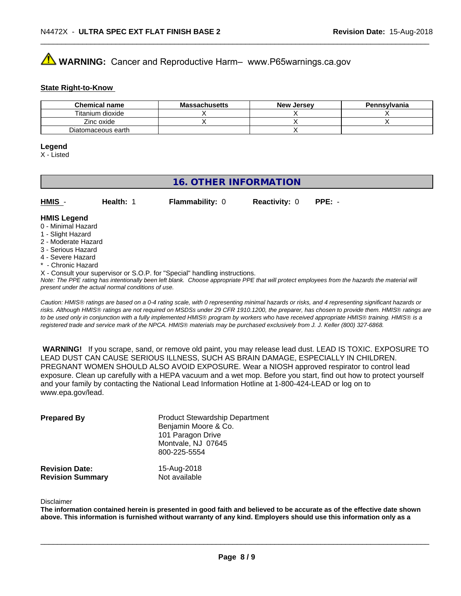# **AVIMARNING:** Cancer and Reproductive Harm– www.P65warnings.ca.gov

#### **State Right-to-Know**

| <b>Chemical name</b> | <b>Massachusetts</b> | <b>New Jersey</b> | Pennsylvania |
|----------------------|----------------------|-------------------|--------------|
| Titanium dioxide     |                      |                   |              |
| Zinc oxide           |                      |                   |              |
| Diatomaceous earth   |                      |                   |              |

#### **Legend**

X - Listed

# **16. OTHER INFORMATION**

| $HMIS -$           | Health: | <b>Flammability: 0</b> | <b>Reactivity: 0</b> | $PPE: -$ |  |
|--------------------|---------|------------------------|----------------------|----------|--|
| <b>HMIS Legend</b> |         |                        |                      |          |  |

### 0 - Minimal Hazard

- 1 Slight Hazard
- 2 Moderate Hazard
- 3 Serious Hazard
- 4 Severe Hazard
- \* Chronic Hazard
- X Consult your supervisor or S.O.P. for "Special" handling instructions.

*Note: The PPE rating has intentionally been left blank. Choose appropriate PPE that will protect employees from the hazards the material will present under the actual normal conditions of use.*

*Caution: HMISÒ ratings are based on a 0-4 rating scale, with 0 representing minimal hazards or risks, and 4 representing significant hazards or risks. Although HMISÒ ratings are not required on MSDSs under 29 CFR 1910.1200, the preparer, has chosen to provide them. HMISÒ ratings are to be used only in conjunction with a fully implemented HMISÒ program by workers who have received appropriate HMISÒ training. HMISÒ is a registered trade and service mark of the NPCA. HMISÒ materials may be purchased exclusively from J. J. Keller (800) 327-6868.*

 **WARNING!** If you scrape, sand, or remove old paint, you may release lead dust. LEAD IS TOXIC. EXPOSURE TO LEAD DUST CAN CAUSE SERIOUS ILLNESS, SUCH AS BRAIN DAMAGE, ESPECIALLY IN CHILDREN. PREGNANT WOMEN SHOULD ALSO AVOID EXPOSURE.Wear a NIOSH approved respirator to control lead exposure. Clean up carefully with a HEPA vacuum and a wet mop. Before you start, find out how to protect yourself and your family by contacting the National Lead Information Hotline at 1-800-424-LEAD or log on to www.epa.gov/lead.

| <b>Prepared By</b>                               | <b>Product Stewardship Department</b><br>Benjamin Moore & Co.<br>101 Paragon Drive<br>Montvale, NJ 07645<br>800-225-5554 |  |
|--------------------------------------------------|--------------------------------------------------------------------------------------------------------------------------|--|
| <b>Revision Date:</b><br><b>Revision Summary</b> | 15-Aug-2018<br>Not available                                                                                             |  |

#### Disclaimer

The information contained herein is presented in good faith and believed to be accurate as of the effective date shown above. This information is furnished without warranty of any kind. Employers should use this information only as a